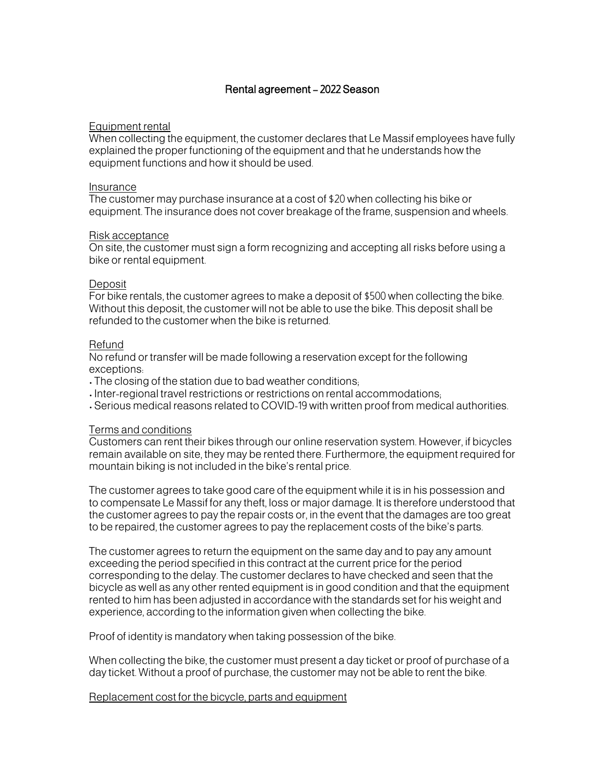# Rental agreement – 2022 Season

## Equipment rental

When collecting the equipment, the customer declares that Le Massif employees have fully explained the proper functioning of the equipment and that he understands how the equipment functions and how it should be used.

#### Insurance

The customer may purchase insurance at a cost of \$20 when collecting his bike or equipment. The insurance does not cover breakage of the frame, suspension and wheels.

## Risk acceptance

On site, the customer must sign a form recognizing and accepting all risks before using a bike or rental equipment.

## Deposit

For bike rentals, the customer agrees to make a deposit of \$500 when collecting the bike. Without this deposit, the customer will not be able to use the bike. This deposit shall be refunded to the customer when the bike is returned.

## Refund

No refund or transfer will be made following a reservation except for the following exceptions:

- The closing of the station due to bad weather conditions;
- Inter-regional travel restrictions or restrictions on rental accommodations;
- Serious medical reasons related to COVID-19 with written proof from medical authorities.

## Terms and conditions

Customers can rent their bikes through our online reservation system. However, if bicycles remain available on site, they may be rented there. Furthermore, the equipment required for mountain biking is not included in the bike's rental price.

The customer agrees to take good care of the equipment while it is in his possession and to compensate Le Massif for any theft, loss or major damage. It is therefore understood that the customer agrees to pay the repair costs or, in the event that the damages are too great to be repaired, the customer agrees to pay the replacement costs of the bike's parts.

The customer agrees to return the equipment on the same day and to pay any amount exceeding the period specified in this contract at the current price for the period corresponding to the delay. The customer declares to have checked and seen that the bicycle as well as any other rented equipment is in good condition and that the equipment rented to him has been adjusted in accordance with the standards set for his weight and experience, according to the information given when collecting the bike.

Proof of identity is mandatory when taking possession of the bike.

When collecting the bike, the customer must present a day ticket or proof of purchase of a day ticket. Without a proof of purchase, the customer may not be able to rent the bike.

#### Replacement cost for the bicycle, parts and equipment